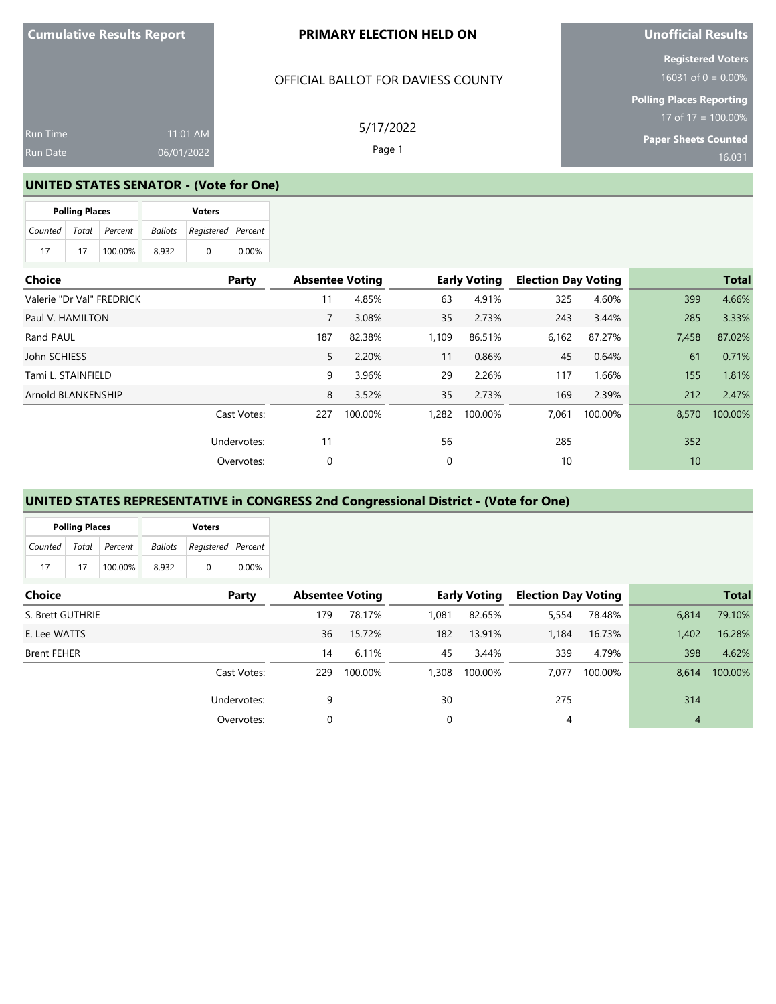#### **PRIMARY ELECTION HELD ON**

### OFFICIAL BALLOT FOR DAVIESS COUNTY

Run Time Run Date 11:01 AM 06/01/2022

5/17/2022 Page 1

**Unofficial Results**

**Registered Voters**

**Polling Places Reporting** 17 of 17 = 100.00%

**Paper Sheets Counted** 16,031

#### **UNITED STATES SENATOR - (Vote for One)**

|               | <b>Polling Places</b> |         | <b>Voters</b>  |                    |       |  |  |  |
|---------------|-----------------------|---------|----------------|--------------------|-------|--|--|--|
| Counted Total |                       | Percent | <b>Ballots</b> | Registered Percent |       |  |  |  |
| 17            | 17                    | 100.00% | 8.932          |                    | 0.00% |  |  |  |

| <b>Choice</b>             | Party       | <b>Absentee Voting</b> |         |       | <b>Early Voting</b> | <b>Election Day Voting</b> |         |       | <b>Total</b> |
|---------------------------|-------------|------------------------|---------|-------|---------------------|----------------------------|---------|-------|--------------|
| Valerie "Dr Val" FREDRICK |             | 11                     | 4.85%   | 63    | 4.91%               | 325                        | 4.60%   | 399   | 4.66%        |
| Paul V. HAMILTON          |             | 7                      | 3.08%   | 35    | 2.73%               | 243                        | 3.44%   | 285   | 3.33%        |
| Rand PAUL                 |             | 187                    | 82.38%  | 1,109 | 86.51%              | 6,162                      | 87.27%  | 7,458 | 87.02%       |
| John SCHIESS              |             | 5                      | 2.20%   | 11    | 0.86%               | 45                         | 0.64%   | 61    | 0.71%        |
| Tami L. STAINFIELD        |             | 9                      | 3.96%   | 29    | 2.26%               | 117                        | 1.66%   | 155   | 1.81%        |
| Arnold BLANKENSHIP        |             | 8                      | 3.52%   | 35    | 2.73%               | 169                        | 2.39%   | 212   | 2.47%        |
|                           | Cast Votes: | 227                    | 100.00% | 1,282 | 100.00%             | 7.061                      | 100.00% | 8,570 | 100.00%      |
|                           | Undervotes: | 11                     |         | 56    |                     | 285                        |         | 352   |              |
|                           | Overvotes:  | 0                      |         | 0     |                     | 10                         |         | 10    |              |

#### **UNITED STATES REPRESENTATIVE in CONGRESS 2nd Congressional District - (Vote for One)**

|         | <b>Polling Places</b> |         | <b>Voters</b>  |                    |       |  |  |  |
|---------|-----------------------|---------|----------------|--------------------|-------|--|--|--|
| Counted | Total                 | Percent | <b>Ballots</b> | Registered Percent |       |  |  |  |
| 17      | 17                    | 100.00% | 8.932          | $\Omega$           | 0.00% |  |  |  |

| <b>Choice</b>      | Party       | <b>Absentee Voting</b> |         |       | <b>Early Voting</b> |       | <b>Election Day Voting</b> |       | <b>Total</b> |
|--------------------|-------------|------------------------|---------|-------|---------------------|-------|----------------------------|-------|--------------|
| S. Brett GUTHRIE   |             | 179                    | 78.17%  | 1,081 | 82.65%              | 5,554 | 78.48%                     | 6,814 | 79.10%       |
| E. Lee WATTS       |             | 36                     | 15.72%  | 182   | 13.91%              | 1.184 | 16.73%                     | 1,402 | 16.28%       |
| <b>Brent FEHER</b> |             | 14                     | 6.11%   | 45    | 3.44%               | 339   | 4.79%                      | 398   | 4.62%        |
|                    | Cast Votes: | 229                    | 100.00% | 1,308 | 100.00%             | 7.077 | 100.00%                    | 8.614 | 100.00%      |
|                    | Undervotes: | 9                      |         | 30    |                     | 275   |                            | 314   |              |
|                    | Overvotes:  | 0                      |         | 0     |                     | 4     |                            | 4     |              |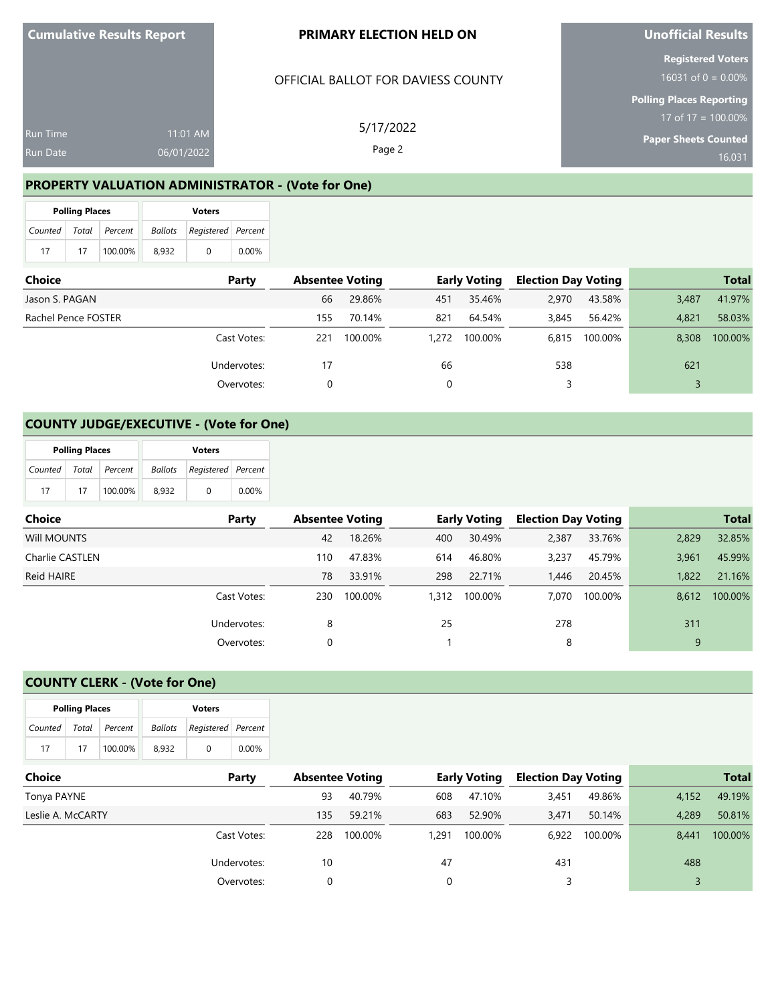Run Time Run Date

#### **PRIMARY ELECTION HELD ON**

#### OFFICIAL BALLOT FOR DAVIESS COUNTY

5/17/2022 Page 2

**Unofficial Results**

**Registered Voters**

**Polling Places Reporting** 17 of 17 = 100.00%

**Paper Sheets Counted**

16,031

#### **PROPERTY VALUATION ADMINISTRATOR - (Vote for One)**

11:01 AM 06/01/2022

|               | <b>Polling Places</b> |         | <b>Voters</b>  |                    |       |  |  |  |
|---------------|-----------------------|---------|----------------|--------------------|-------|--|--|--|
| Counted Total |                       | Percent | <b>Ballots</b> | Registered Percent |       |  |  |  |
| 17            | 17                    | 100.00% | 8.932          | 0                  | 0.00% |  |  |  |

| Choice              | Party       | <b>Absentee Voting</b> |         |       | <b>Early Voting</b> | <b>Election Day Voting</b> |         |       | <b>Total</b> |
|---------------------|-------------|------------------------|---------|-------|---------------------|----------------------------|---------|-------|--------------|
| Jason S. PAGAN      |             | 66                     | 29.86%  | 451   | 35.46%              | 2,970                      | 43.58%  | 3,487 | 41.97%       |
| Rachel Pence FOSTER |             | 155                    | 70.14%  | 821   | 64.54%              | 3,845                      | 56.42%  | 4.821 | 58.03%       |
|                     | Cast Votes: | 221                    | 100.00% | 1,272 | 100.00%             | 6.815                      | 100.00% | 8.308 | 100.00%      |
|                     | Undervotes: | 17                     |         | 66    |                     | 538                        |         | 621   |              |
|                     | Overvotes:  |                        |         |       |                     |                            |         |       |              |

### **COUNTY JUDGE/EXECUTIVE - (Vote for One)**

|                       | <b>Polling Places</b> |         | <b>Voters</b> |                                   |          |  |  |  |
|-----------------------|-----------------------|---------|---------------|-----------------------------------|----------|--|--|--|
| Counted Total Percent |                       |         |               | <b>Ballots</b> Registered Percent |          |  |  |  |
| 17                    | 17                    | 100.00% | 8.932         | $\left( \right)$                  | $0.00\%$ |  |  |  |

| Choice          | Party       |     | <b>Absentee Voting</b> |       | <b>Early Voting</b> | <b>Election Day Voting</b> |         |       | <b>Total</b> |
|-----------------|-------------|-----|------------------------|-------|---------------------|----------------------------|---------|-------|--------------|
| Will MOUNTS     |             | 42  | 18.26%                 | 400   | 30.49%              | 2,387                      | 33.76%  | 2,829 | 32.85%       |
| Charlie CASTLEN |             | 110 | 47.83%                 | 614   | 46.80%              | 3,237                      | 45.79%  | 3,961 | 45.99%       |
| Reid HAIRE      |             | 78  | 33.91%                 | 298   | 22.71%              | 1.446                      | 20.45%  | 1,822 | 21.16%       |
|                 | Cast Votes: | 230 | 100.00%                | 1,312 | 100.00%             | 7.070                      | 100.00% | 8.612 | 100.00%      |
|                 | Undervotes: | 8   |                        | 25    |                     | 278                        |         | 311   |              |
|                 | Overvotes:  | 0   |                        |       |                     | 8                          |         | 9     |              |

## **COUNTY CLERK - (Vote for One)**

|         | <b>Polling Places</b> |         | <b>Voters</b>                        |          |       |  |  |
|---------|-----------------------|---------|--------------------------------------|----------|-------|--|--|
| Counted | Total                 | Percent | Registered Percent<br><b>Ballots</b> |          |       |  |  |
| 17      | 17                    | 100.00% | 8.932                                | $\Omega$ | 0.00% |  |  |

| <b>Choice</b><br>Party |             |     | <b>Absentee Voting</b> |       | <b>Early Voting</b> |       | <b>Election Day Voting</b> |       | <b>Total</b> |
|------------------------|-------------|-----|------------------------|-------|---------------------|-------|----------------------------|-------|--------------|
| Tonya PAYNE            |             | 93  | 40.79%                 | 608   | 47.10%              | 3,451 | 49.86%                     | 4,152 | 49.19%       |
| Leslie A. McCARTY      |             | 135 | 59.21%                 | 683   | 52.90%              | 3.471 | 50.14%                     | 4.289 | 50.81%       |
|                        | Cast Votes: | 228 | 100.00%                | 1.291 | 100.00%             | 6.922 | 100.00%                    | 8.441 | 100.00%      |
|                        | Undervotes: | 10  |                        | 47    |                     | 431   |                            | 488   |              |
|                        | Overvotes:  |     |                        |       |                     |       |                            |       |              |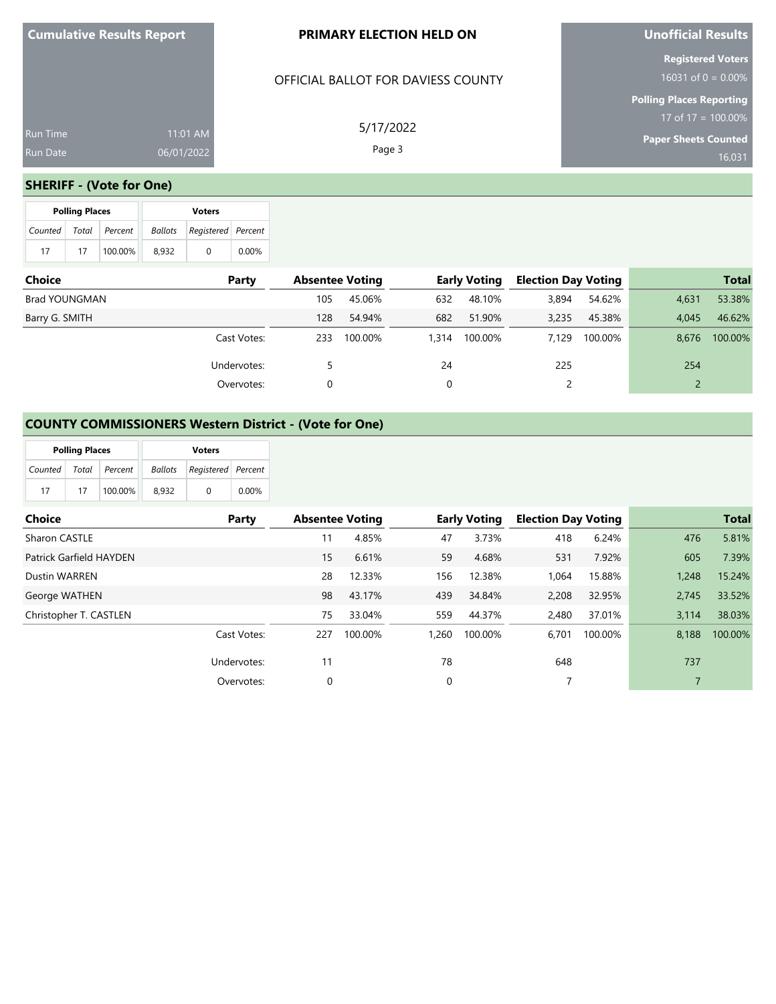| <b>Cumulative Results Report</b> |  |  |
|----------------------------------|--|--|
|----------------------------------|--|--|

### **PRIMARY ELECTION HELD ON**

## OFFICIAL BALLOT FOR DAVIESS COUNTY

11:01 AM 06/01/2022

5/17/2022 Page 3

**Unofficial Results**

**Registered Voters**

**Polling Places Reporting** 17 of 17 = 100.00%

**Paper Sheets Counted**

16,031

#### **SHERIFF - (Vote for One)**

|                       | <b>Polling Places</b> |         | <b>Voters</b> |                    |       |  |  |  |
|-----------------------|-----------------------|---------|---------------|--------------------|-------|--|--|--|
| Counted Total Percent |                       |         | Ballots       | Registered Percent |       |  |  |  |
| 17                    | 17                    | 100.00% | 8.932         | $\Omega$           | 0.00% |  |  |  |

| <b>Choice</b>  | Party       |     | <b>Absentee Voting</b> |       | <b>Early Voting</b> | <b>Election Day Voting</b> |         |       | <b>Total</b> |
|----------------|-------------|-----|------------------------|-------|---------------------|----------------------------|---------|-------|--------------|
| Brad YOUNGMAN  |             | 105 | 45.06%                 | 632   | 48.10%              | 3,894                      | 54.62%  | 4,631 | 53.38%       |
| Barry G. SMITH |             | 128 | 54.94%                 | 682   | 51.90%              | 3.235                      | 45.38%  | 4.045 | 46.62%       |
|                | Cast Votes: | 233 | 100.00%                | 1,314 | 100.00%             | 7.129                      | 100.00% | 8.676 | 100.00%      |
|                | Undervotes: |     |                        | 24    |                     | 225                        |         | 254   |              |
|                | Overvotes:  | 0   |                        | 0     |                     |                            |         |       |              |

# **COUNTY COMMISSIONERS Western District - (Vote for One)**

|         | <b>Polling Places</b> |         |         | <b>Voters</b>      |          |
|---------|-----------------------|---------|---------|--------------------|----------|
| Counted | Total                 | Percent | Ballots | Registered Percent |          |
| 17      | 17                    | 100.00% | 8.932   | 0                  | $0.00\%$ |

| Choice                  | Party       |     | <b>Absentee Voting</b> |          | <b>Early Voting</b> | <b>Election Day Voting</b> |         |       | <b>Total</b> |
|-------------------------|-------------|-----|------------------------|----------|---------------------|----------------------------|---------|-------|--------------|
| Sharon CASTLE           |             | 11  | 4.85%                  | 47       | 3.73%               | 418                        | 6.24%   | 476   | 5.81%        |
| Patrick Garfield HAYDEN |             | 15  | 6.61%                  | 59       | 4.68%               | 531                        | 7.92%   | 605   | 7.39%        |
| <b>Dustin WARREN</b>    |             | 28  | 12.33%                 | 156      | 12.38%              | 1,064                      | 15.88%  | 1.248 | 15.24%       |
| George WATHEN           |             | 98  | 43.17%                 | 439      | 34.84%              | 2,208                      | 32.95%  | 2.745 | 33.52%       |
| Christopher T. CASTLEN  |             | 75  | 33.04%                 | 559      | 44.37%              | 2,480                      | 37.01%  | 3.114 | 38.03%       |
|                         | Cast Votes: | 227 | 100.00%                | 1.260    | 100.00%             | 6.701                      | 100.00% | 8.188 | 100.00%      |
|                         | Undervotes: | 11  |                        | 78       |                     | 648                        |         | 737   |              |
|                         | Overvotes:  | 0   |                        | $\Omega$ |                     | 7                          |         |       |              |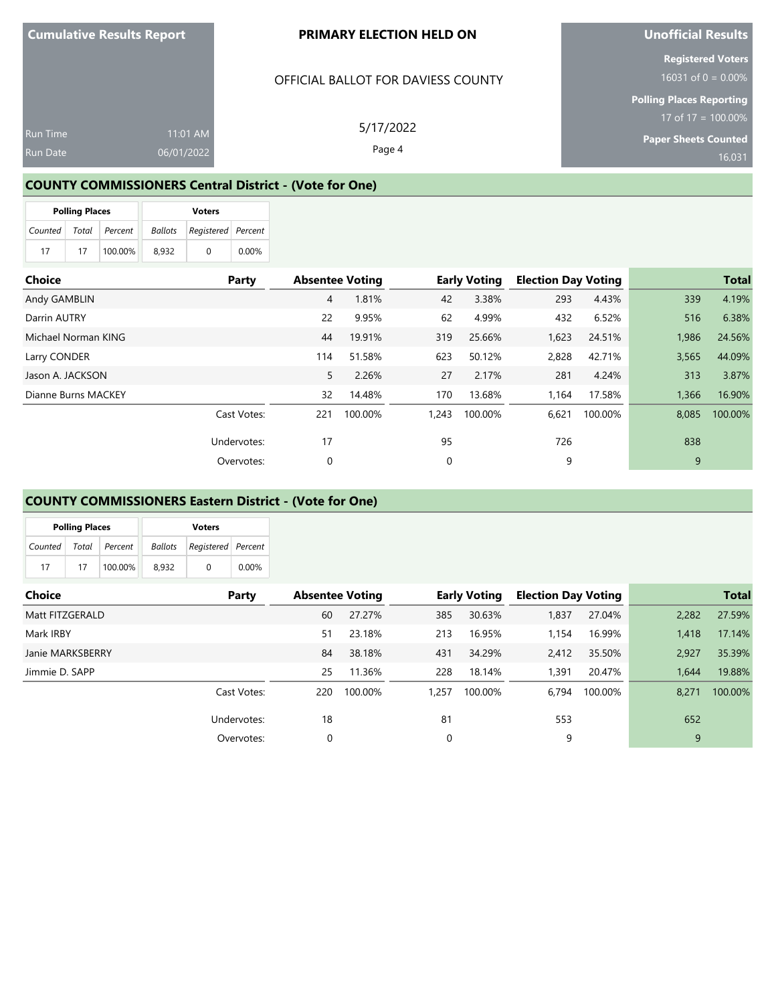#### **PRIMARY ELECTION HELD ON**

#### OFFICIAL BALLOT FOR DAVIESS COUNTY

Run Time Run Date 11:01 AM 06/01/2022

5/17/2022 Page 4

## **COUNTY COMMISSIONERS Central District - (Vote for One)**

|         | <b>Polling Places</b> |         | <b>Voters</b> |                    |       |  |  |
|---------|-----------------------|---------|---------------|--------------------|-------|--|--|
| Counted | Total                 | Percent | Ballots       | Registered Percent |       |  |  |
| 17      | 17                    | 100.00% | 8.932         | 0                  | 0.00% |  |  |

| Choice              | Party       | <b>Absentee Voting</b> |         |       | <b>Early Voting</b> | <b>Election Day Voting</b> |         |       | <b>Total</b> |
|---------------------|-------------|------------------------|---------|-------|---------------------|----------------------------|---------|-------|--------------|
| Andy GAMBLIN        |             | 4                      | 1.81%   | 42    | 3.38%               | 293                        | 4.43%   | 339   | 4.19%        |
| Darrin AUTRY        |             | 22                     | 9.95%   | 62    | 4.99%               | 432                        | 6.52%   | 516   | 6.38%        |
| Michael Norman KING |             | 44                     | 19.91%  | 319   | 25.66%              | 1,623                      | 24.51%  | 1,986 | 24.56%       |
| Larry CONDER        |             | 114                    | 51.58%  | 623   | 50.12%              | 2,828                      | 42.71%  | 3,565 | 44.09%       |
| Jason A. JACKSON    |             | 5                      | 2.26%   | 27    | 2.17%               | 281                        | 4.24%   | 313   | 3.87%        |
| Dianne Burns MACKEY |             | 32                     | 14.48%  | 170   | 13.68%              | 1,164                      | 17.58%  | 1,366 | 16.90%       |
|                     | Cast Votes: | 221                    | 100.00% | 1,243 | 100.00%             | 6,621                      | 100.00% | 8,085 | 100.00%      |
|                     | Undervotes: | 17                     |         | 95    |                     | 726                        |         | 838   |              |
|                     | Overvotes:  | 0                      |         | 0     |                     | 9                          |         | 9     |              |

#### **COUNTY COMMISSIONERS Eastern District - (Vote for One)**

|         | <b>Polling Places</b> |         |                | <b>Voters</b>      |       |
|---------|-----------------------|---------|----------------|--------------------|-------|
| Counted | Total                 | Percent | <b>Ballots</b> | Registered Percent |       |
| 17      | 17                    | 100.00% | 8.932          | $\Omega$           | 0.00% |

| Choice           | Party       |     | <b>Absentee Voting</b> |       | <b>Early Voting</b> | <b>Election Day Voting</b> |         |       | <b>Total</b> |
|------------------|-------------|-----|------------------------|-------|---------------------|----------------------------|---------|-------|--------------|
| Matt FITZGERALD  |             | 60  | 27.27%                 | 385   | 30.63%              | 1,837                      | 27.04%  | 2,282 | 27.59%       |
| Mark IRBY        |             | 51  | 23.18%                 | 213   | 16.95%              | 1.154                      | 16.99%  | 1,418 | 17.14%       |
| Janie MARKSBERRY |             | 84  | 38.18%                 | 431   | 34.29%              | 2.412                      | 35.50%  | 2,927 | 35.39%       |
| Jimmie D. SAPP   |             | 25  | 11.36%                 | 228   | 18.14%              | 391,ا                      | 20.47%  | 1.644 | 19.88%       |
|                  | Cast Votes: | 220 | 100.00%                | 1.257 | 100.00%             | 6.794                      | 100.00% | 8.271 | 100.00%      |
|                  | Undervotes: | 18  |                        | 81    |                     | 553                        |         | 652   |              |
|                  | Overvotes:  | 0   |                        | 0     |                     | 9                          |         | 9     |              |

**Unofficial Results**

**Registered Voters**

**Polling Places Reporting** 17 of 17 = 100.00%

**Paper Sheets Counted**  $16,031$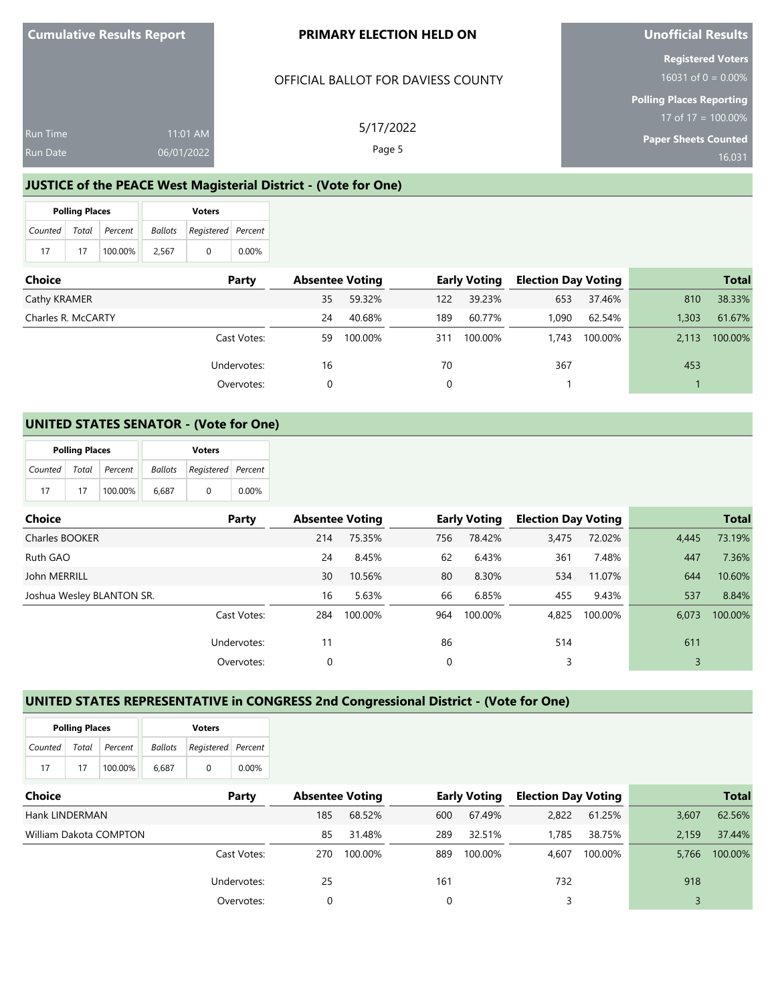Run Time

#### **PRIMARY ELECTION HELD ON**

#### OFFICIAL BALLOT FOR DAVIESS COUNTY

5/17/2022 Page 5

**Unofficial Results**

**Registered Voters**

**Polling Places Reporting** 17 of  $17 = 100.00\%$ 

**Paper Sheets Counted**

16,031

**JUSTICE of the PEACE West Magisterial District - (Vote for One)**

11:01 AM 06/01/2022

|         | <b>Polling Places</b> |         | <b>Voters</b>  |                           |       |  |  |
|---------|-----------------------|---------|----------------|---------------------------|-------|--|--|
| Counted | Total                 | Percent | <b>Ballots</b> | <b>Registered</b> Percent |       |  |  |
| 17      | 17                    | 100.00% | 2.567          |                           | 0.00% |  |  |

| Choice             | Party       | <b>Absentee Voting</b> |         |     | <b>Early Voting</b> | <b>Election Day Voting</b> |         |       | <b>Total</b> |
|--------------------|-------------|------------------------|---------|-----|---------------------|----------------------------|---------|-------|--------------|
| Cathy KRAMER       |             | 35                     | 59.32%  | 122 | 39.23%              | 653                        | 37.46%  | 810   | 38.33%       |
| Charles R. McCARTY |             | 24                     | 40.68%  | 189 | 60.77%              | 1,090                      | 62.54%  | 1,303 | 61.67%       |
|                    | Cast Votes: | 59.                    | 100.00% | 311 | 100.00%             | 1.743                      | 100.00% | 2.113 | 100.00%      |
|                    | Undervotes: | 16                     |         | 70  |                     | 367                        |         | 453   |              |
|                    | Overvotes:  |                        |         |     |                     |                            |         |       |              |

### **UNITED STATES SENATOR - (Vote for One)**

|         | <b>Polling Places</b> |               |       |                                   |          |
|---------|-----------------------|---------------|-------|-----------------------------------|----------|
| Counted |                       | Total Percent |       | <b>Ballots</b> Registered Percent |          |
| 17      | 17                    | 100.00%       | 6.687 | $\left( \right)$                  | $0.00\%$ |

| Choice                    | Party       | <b>Absentee Voting</b> |         |     | <b>Early Voting</b> | <b>Election Day Voting</b> |         |       | <b>Total</b> |
|---------------------------|-------------|------------------------|---------|-----|---------------------|----------------------------|---------|-------|--------------|
| Charles BOOKER            |             | 214                    | 75.35%  | 756 | 78.42%              | 3,475                      | 72.02%  | 4,445 | 73.19%       |
| Ruth GAO                  |             | 24                     | 8.45%   | 62  | 6.43%               | 361                        | 7.48%   | 447   | 7.36%        |
| John MERRILL              |             | 30                     | 10.56%  | 80  | 8.30%               | 534                        | 11.07%  | 644   | 10.60%       |
| Joshua Wesley BLANTON SR. |             | 16                     | 5.63%   | 66  | 6.85%               | 455                        | 9.43%   | 537   | 8.84%        |
|                           | Cast Votes: | 284                    | 100.00% | 964 | 100.00%             | 4,825                      | 100.00% | 6.073 | 100.00%      |
|                           | Undervotes: | 11                     |         | 86  |                     | 514                        |         | 611   |              |
|                           | Overvotes:  | 0                      |         | 0   |                     | 3                          |         |       |              |

#### **UNITED STATES REPRESENTATIVE in CONGRESS 2nd Congressional District - (Vote for One)**

|         | <b>Polling Places</b> |               |                | <b>Voters</b>      |          |
|---------|-----------------------|---------------|----------------|--------------------|----------|
| Counted |                       | Total Percent | <b>Ballots</b> | Registered Percent |          |
| 17      | 17                    | 100.00%       | 6.687          |                    | $0.00\%$ |

| <b>Choice</b>          | Party       | <b>Absentee Voting</b> |         | <b>Early Voting</b> |         | <b>Election Day Voting</b> |         | <b>Total</b> |         |
|------------------------|-------------|------------------------|---------|---------------------|---------|----------------------------|---------|--------------|---------|
| Hank LINDERMAN         |             | 185                    | 68.52%  | 600                 | 67.49%  | 2,822                      | 61.25%  | 3,607        | 62.56%  |
| William Dakota COMPTON |             | 85                     | 31.48%  | 289                 | 32.51%  | 1.785                      | 38.75%  | 2.159        | 37.44%  |
|                        | Cast Votes: | 270                    | 100.00% | 889                 | 100.00% | 4.607                      | 100.00% | 5.766        | 100.00% |
|                        | Undervotes: | 25                     |         | 161                 |         | 732                        |         | 918          |         |
|                        | Overvotes:  |                        |         |                     |         |                            |         |              |         |